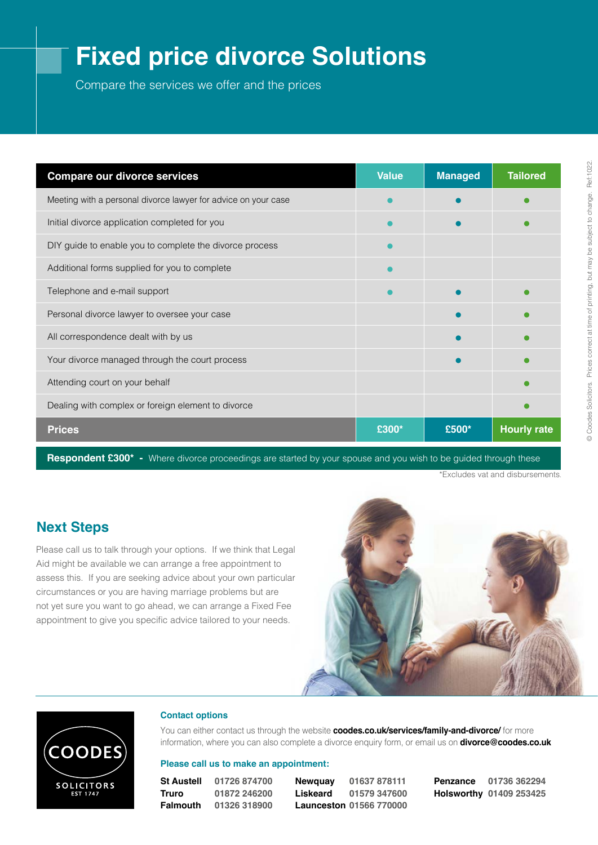# **Fixed price divorce Solutions**

Compare the services we offer and the prices

| <b>Compare our divorce services</b>                            | <b>Value</b> | <b>Managed</b> | <b>Tailored</b>    |
|----------------------------------------------------------------|--------------|----------------|--------------------|
| Meeting with a personal divorce lawyer for advice on your case |              |                |                    |
| Initial divorce application completed for you                  |              |                |                    |
| DIY guide to enable you to complete the divorce process        |              |                |                    |
| Additional forms supplied for you to complete                  |              |                |                    |
| Telephone and e-mail support                                   |              |                |                    |
| Personal divorce lawyer to oversee your case                   |              |                |                    |
| All correspondence dealt with by us                            |              |                |                    |
| Your divorce managed through the court process                 |              |                |                    |
| Attending court on your behalf                                 |              |                |                    |
| Dealing with complex or foreign element to divorce             |              |                |                    |
| <b>Prices</b>                                                  | £300*        | £500*          | <b>Hourly rate</b> |

**Respondent £300\* -** Where divorce proceedings are started by your spouse and you wish to be guided through these

\*Excludes vat and disbursements.

### **Next Steps**

Please call us to talk through your options. If we think that Legal Aid might be available we can arrange a free appointment to assess this. If you are seeking advice about your own particular circumstances or you are having marriage problems but are not yet sure you want to go ahead, we can arrange a Fixed Fee appointment to give you specific advice tailored to your needs.





#### **Contact options**

You can either contact us through the website **coodes.co.uk/services/family-and-divorce/** for more information, where you can also complete a divorce enquiry form, or email us on **divorce@coodes.co.uk**

#### **Please call us to make an appointment:**

**St Austell 01726 874700 Truro 01872 246200 Falmouth 01326 318900** 

**Newquay 01637 878111 Liskeard 01579 347600 Launceston 01566 770000**

**Penzance 01736 362294 Holsworthy 01409 253425**